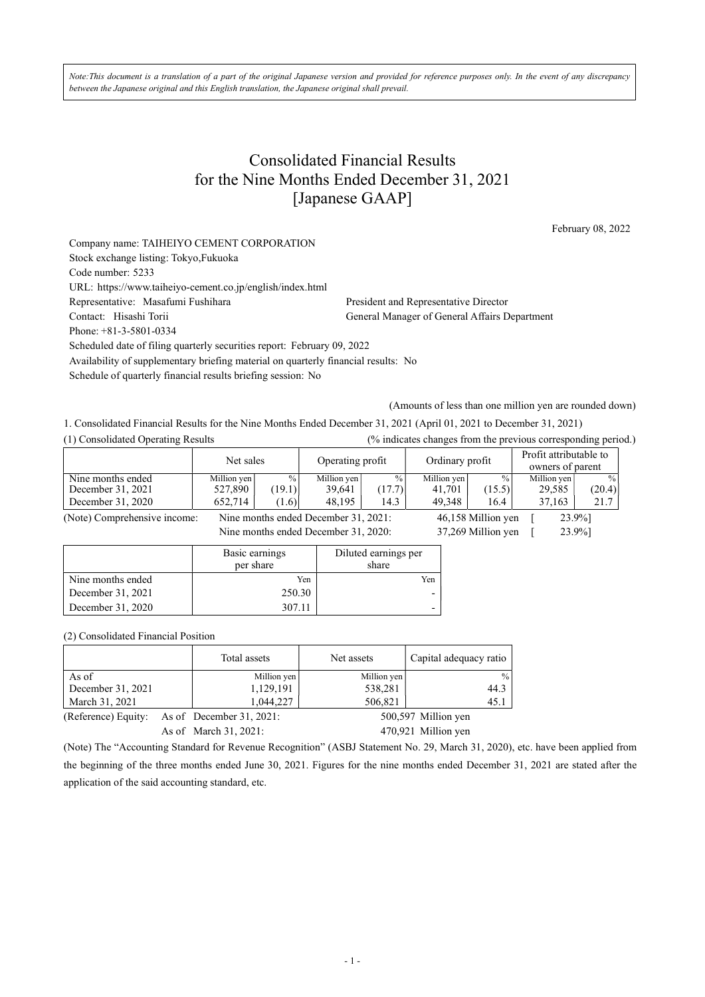Note:This document is a translation of a part of the original Japanese version and provided for reference purposes only. In the event of any discrepancy between the Japanese original and this English translation, the Japanese original shall prevail.

## Consolidated Financial Results for the Nine Months Ended December 31, 2021 [Japanese GAAP]

February 08, 2022

| Company name: TAIHEIYO CEMENT CORPORATION                                          |                                               |  |  |  |
|------------------------------------------------------------------------------------|-----------------------------------------------|--|--|--|
| Stock exchange listing: Tokyo, Fukuoka                                             |                                               |  |  |  |
| Code number: 5233                                                                  |                                               |  |  |  |
| URL: https://www.taiheiyo-cement.co.jp/english/index.html                          |                                               |  |  |  |
| Representative: Masafumi Fushihara                                                 | President and Representative Director         |  |  |  |
| Contact: Hisashi Torii                                                             | General Manager of General Affairs Department |  |  |  |
| Phone: $+81-3-5801-0334$                                                           |                                               |  |  |  |
| Scheduled date of filing quarterly securities report: February 09, 2022            |                                               |  |  |  |
| Availability of supplementary briefing material on quarterly financial results: No |                                               |  |  |  |
| Schedule of quarterly financial results briefing session: No                       |                                               |  |  |  |

(Amounts of less than one million yen are rounded down)

1. Consolidated Financial Results for the Nine Months Ended December 31, 2021 (April 01, 2021 to December 31, 2021)

|  |  | (1) Consolidated Operating Result |  |
|--|--|-----------------------------------|--|

(1) Consolidated Operating Results (% indicates changes from the previous corresponding period.)

|                                        | Net sales              |                         | Operating profit                     |                         | Ordinary profit       |                         | Profit attributable to<br>owners of parent |                         |
|----------------------------------------|------------------------|-------------------------|--------------------------------------|-------------------------|-----------------------|-------------------------|--------------------------------------------|-------------------------|
| Nine months ended<br>December 31, 2021 | Million yen<br>527,890 | $\frac{0}{0}$<br>(19.1) | Million yen<br>39.641                | $\frac{0}{0}$<br>(17.7) | Million yen<br>41.701 | $\frac{0}{0}$<br>(15.5) | Million ven<br>29.585                      | $\frac{0}{0}$<br>(20.4) |
| December 31, 2020                      | 652.714                | (1.6)                   | 48.195                               | 14.3                    | 49.348                | 16.4                    | 37.163                                     | 21.7                    |
| (Note) Comprehensive income:           |                        |                         | Nine months ended December 31, 2021: |                         |                       | 46.158 Million ven      |                                            | 23.9%1                  |

 $\frac{40,136 \text{ M}}{1000 \text{ V}}$  incomes Nine months ended December 31, 2020: 37, 269 Million yen [ 23.9%]

|                   | Basic earnings<br>per share | Diluted earnings per<br>share |
|-------------------|-----------------------------|-------------------------------|
| Nine months ended | Yen                         | Yen                           |
| December 31, 2021 | 250.30                      |                               |
| December 31, 2020 | 307.11                      |                               |

(2) Consolidated Financial Position

|                     | Total assets                | Net assets  | Capital adequacy ratio |
|---------------------|-----------------------------|-------------|------------------------|
| As of               | Million yen                 | Million yen | $\frac{0}{0}$          |
| December 31, 2021   | 1,129,191                   | 538,281     | 44.3                   |
| March 31, 2021      | 1,044,227                   | 506,821     | 45.1                   |
| (Reference) Equity: | As of December $31, 2021$ : |             | 500,597 Million yen    |
|                     | As of March 31, 2021:       |             | 470,921 Million yen    |

(Note) The "Accounting Standard for Revenue Recognition" (ASBJ Statement No. 29, March 31, 2020), etc. have been applied from the beginning of the three months ended June 30, 2021. Figures for the nine months ended December 31, 2021 are stated after the application of the said accounting standard, etc.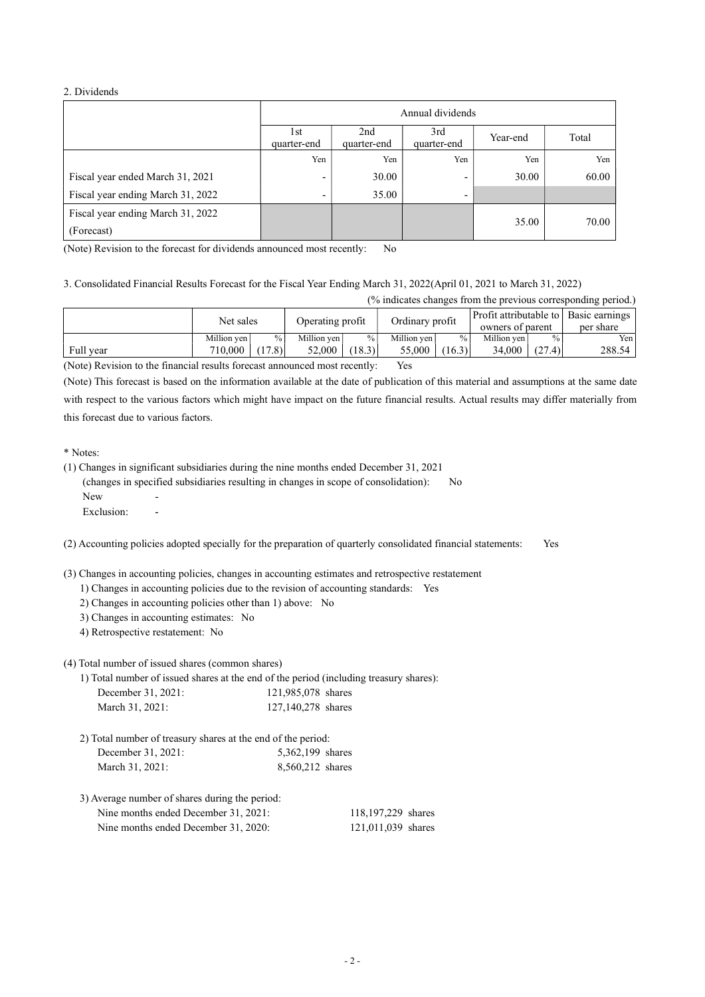#### 2. Dividends

|                                   | Annual dividends         |                                                               |     |       |       |  |  |
|-----------------------------------|--------------------------|---------------------------------------------------------------|-----|-------|-------|--|--|
|                                   | 1st<br>quarter-end       | 2nd<br>3rd<br>Total<br>Year-end<br>quarter-end<br>quarter-end |     |       |       |  |  |
|                                   | Yen                      | Yen                                                           | Yen | Yen   | Yen   |  |  |
| Fiscal year ended March 31, 2021  | $\overline{\phantom{0}}$ | 30.00                                                         | ٠   | 30.00 | 60.00 |  |  |
| Fiscal year ending March 31, 2022 | $\overline{\phantom{0}}$ | 35.00                                                         | ٠   |       |       |  |  |
| Fiscal year ending March 31, 2022 |                          |                                                               |     | 35.00 | 70.00 |  |  |
| (Forecast)                        |                          |                                                               |     |       |       |  |  |

(Note) Revision to the forecast for dividends announced most recently: No

3. Consolidated Financial Results Forecast for the Fiscal Year Ending March 31, 2022(April 01, 2021 to March 31, 2022)

(% indicates changes from the previous corresponding period.)

|           | Net sales   |        | Operating profit |               | Ordinary profit |               | Profit attributable to   Basic earnings  <br>owners of parent |        | per share |
|-----------|-------------|--------|------------------|---------------|-----------------|---------------|---------------------------------------------------------------|--------|-----------|
|           | Million ven | $\%$   | Million ven      | $\frac{9}{6}$ | Million ven     | $\frac{0}{0}$ | Million ven                                                   | %      | Yen       |
| Full year | 710,000     | (17.8) | 52,000           | (18.3)        | 55,000          | (16.3)        | 34,000                                                        | (27.4) | 288.54    |

(Note) Revision to the financial results forecast announced most recently: Yes

(Note) This forecast is based on the information available at the date of publication of this material and assumptions at the same date with respect to the various factors which might have impact on the future financial results. Actual results may differ materially from this forecast due to various factors.

\* Notes:

(1) Changes in significant subsidiaries during the nine months ended December 31, 2021 (changes in specified subsidiaries resulting in changes in scope of consolidation): No  $N$ ew Exclusion: -

(2) Accounting policies adopted specially for the preparation of quarterly consolidated financial statements: Yes

(3) Changes in accounting policies, changes in accounting estimates and retrospective restatement

- 1) Changes in accounting policies due to the revision of accounting standards: Yes
- 2) Changes in accounting policies other than 1) above: No
- 3) Changes in accounting estimates: No
- 4) Retrospective restatement: No

Nine months ended

(4) Total number of issued shares (common shares)

1) Total number of issued shares at the end of the period (including treasury shares): December 31, 2021: 121,985,078 shares March 31, 2021: 127, 140, 278 shares

| 2) Total number of treasury shares at the end of the period: |                  |
|--------------------------------------------------------------|------------------|
| December 31, 2021:                                           | 5,362,199 shares |
| March 31, 2021:                                              | 8,560,212 shares |

3) Average number of shares during the period: Nine months ended December 31, 2021: 118,197.229 shares

| DUULIIUU 91, 2021. | $110, 177, 227$ shares |  |
|--------------------|------------------------|--|
| December 31, 2020: | 121,011,039 shares     |  |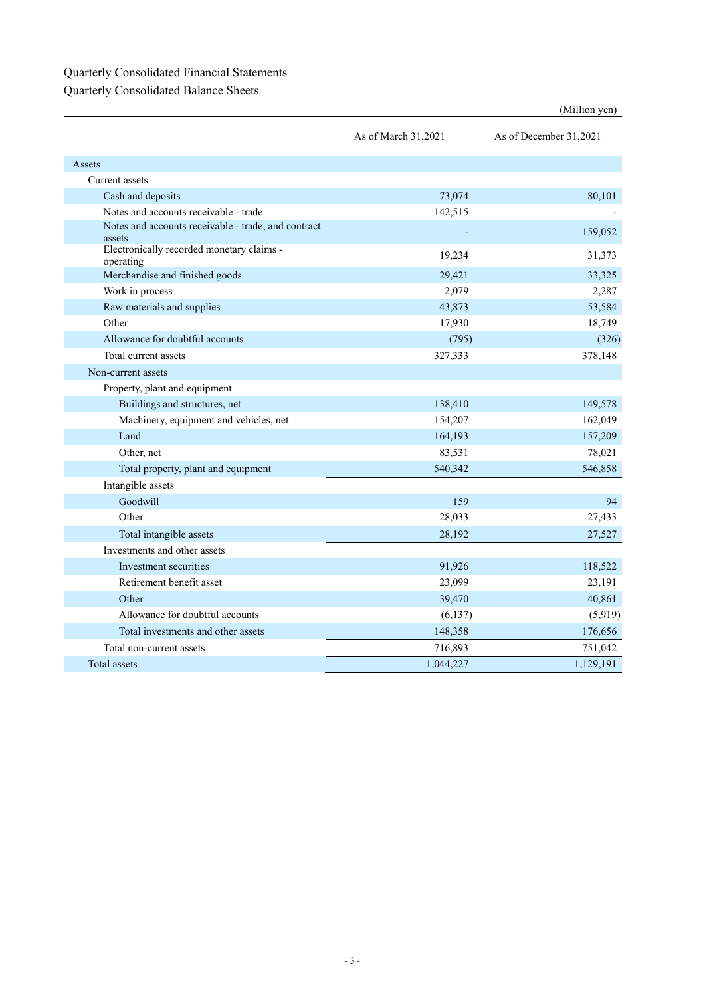## Quarterly Consolidated Financial Statements Quarterly Consolidated Balance Sheets

|                                                               | As of March 31,2021 | As of December 31,2021 |
|---------------------------------------------------------------|---------------------|------------------------|
| Assets                                                        |                     |                        |
| Current assets                                                |                     |                        |
| Cash and deposits                                             | 73,074              | 80,101                 |
| Notes and accounts receivable - trade                         | 142,515             |                        |
| Notes and accounts receivable - trade, and contract<br>assets |                     | 159,052                |
| Electronically recorded monetary claims -<br>operating        | 19,234              | 31,373                 |
| Merchandise and finished goods                                | 29,421              | 33,325                 |
| Work in process                                               | 2,079               | 2,287                  |
| Raw materials and supplies                                    | 43,873              | 53,584                 |
| Other                                                         | 17,930              | 18,749                 |
| Allowance for doubtful accounts                               | (795)               | (326)                  |
| Total current assets                                          | 327,333             | 378,148                |
| Non-current assets                                            |                     |                        |
| Property, plant and equipment                                 |                     |                        |
| Buildings and structures, net                                 | 138,410             | 149,578                |
| Machinery, equipment and vehicles, net                        | 154,207             | 162,049                |
| Land                                                          | 164,193             | 157,209                |
| Other, net                                                    | 83,531              | 78,021                 |
| Total property, plant and equipment                           | 540,342             | 546,858                |
| Intangible assets                                             |                     |                        |
| Goodwill                                                      | 159                 | 94                     |
| Other                                                         | 28,033              | 27,433                 |
| Total intangible assets                                       | 28,192              | 27,527                 |
| Investments and other assets                                  |                     |                        |
| Investment securities                                         | 91,926              | 118,522                |
| Retirement benefit asset                                      | 23,099              | 23,191                 |
| Other                                                         | 39,470              | 40,861                 |
| Allowance for doubtful accounts                               | (6, 137)            | (5,919)                |
| Total investments and other assets                            | 148,358             | 176,656                |
| Total non-current assets                                      | 716,893             | 751,042                |
| Total assets                                                  | 1,044,227           | 1,129,191              |

### (Million yen)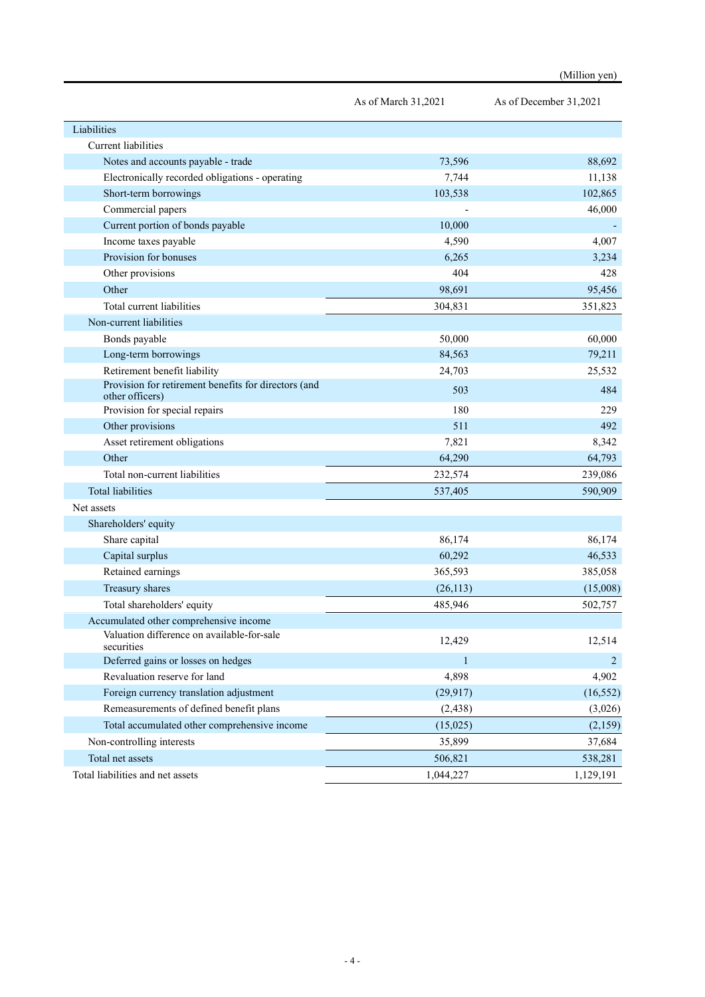|                                                                         | As of March 31,2021 | As of December 31,2021 |
|-------------------------------------------------------------------------|---------------------|------------------------|
| Liabilities                                                             |                     |                        |
| <b>Current</b> liabilities                                              |                     |                        |
| Notes and accounts payable - trade                                      | 73,596              | 88,692                 |
| Electronically recorded obligations - operating                         | 7,744               | 11,138                 |
| Short-term borrowings                                                   | 103,538             | 102,865                |
| Commercial papers                                                       |                     | 46,000                 |
| Current portion of bonds payable                                        | 10,000              |                        |
| Income taxes payable                                                    | 4,590               | 4,007                  |
| Provision for bonuses                                                   | 6,265               | 3,234                  |
| Other provisions                                                        | 404                 | 428                    |
| Other                                                                   | 98,691              | 95,456                 |
| Total current liabilities                                               | 304,831             | 351,823                |
| Non-current liabilities                                                 |                     |                        |
| Bonds payable                                                           | 50,000              | 60,000                 |
| Long-term borrowings                                                    | 84,563              | 79,211                 |
| Retirement benefit liability                                            | 24,703              | 25,532                 |
| Provision for retirement benefits for directors (and<br>other officers) | 503                 | 484                    |
| Provision for special repairs                                           | 180                 | 229                    |
| Other provisions                                                        | 511                 | 492                    |
| Asset retirement obligations                                            | 7,821               | 8,342                  |
| Other                                                                   | 64,290              | 64,793                 |
| Total non-current liabilities                                           | 232,574             | 239,086                |
| <b>Total liabilities</b>                                                | 537,405             | 590,909                |
| Net assets                                                              |                     |                        |
| Shareholders' equity                                                    |                     |                        |
| Share capital                                                           | 86,174              | 86,174                 |
| Capital surplus                                                         | 60,292              | 46,533                 |
| Retained earnings                                                       | 365,593             | 385,058                |
| Treasury shares                                                         | (26, 113)           | (15,008)               |
| Total shareholders' equity                                              | 485,946             | 502,757                |
| Accumulated other comprehensive income                                  |                     |                        |
| Valuation difference on available-for-sale<br>securities                | 12,429              | 12,514                 |
| Deferred gains or losses on hedges                                      | $\mathbf{1}$        | $\overline{2}$         |
| Revaluation reserve for land                                            | 4,898               | 4,902                  |
| Foreign currency translation adjustment                                 | (29, 917)           | (16, 552)              |
| Remeasurements of defined benefit plans                                 | (2, 438)            | (3,026)                |
| Total accumulated other comprehensive income                            | (15,025)            | (2,159)                |
| Non-controlling interests                                               | 35,899              | 37,684                 |
| Total net assets                                                        | 506,821             | 538,281                |
| Total liabilities and net assets                                        | 1,044,227           | 1,129,191              |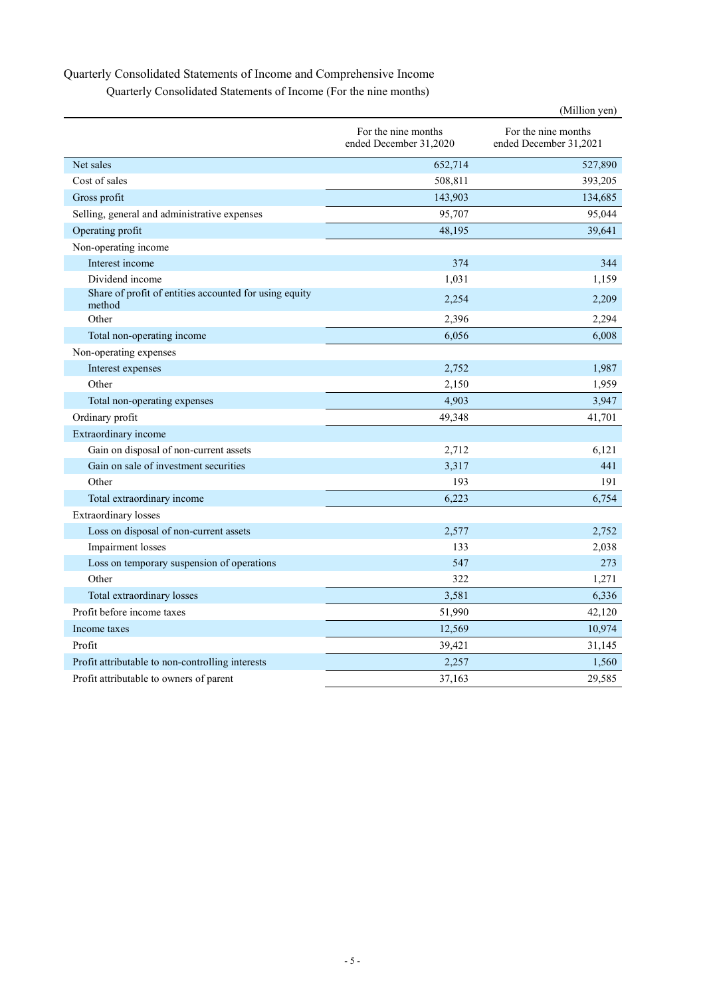# Quarterly Consolidated Statements of Income and Comprehensive Income

| Quarterly Consolidated Statements of Income (For the nine months) |  |  |
|-------------------------------------------------------------------|--|--|
|-------------------------------------------------------------------|--|--|

|                                                                  |                                               | (Million yen)                                 |  |  |
|------------------------------------------------------------------|-----------------------------------------------|-----------------------------------------------|--|--|
|                                                                  | For the nine months<br>ended December 31,2020 | For the nine months<br>ended December 31,2021 |  |  |
| Net sales                                                        | 652,714                                       | 527,890                                       |  |  |
| Cost of sales                                                    | 508,811                                       | 393,205                                       |  |  |
| Gross profit                                                     | 143,903                                       | 134,685                                       |  |  |
| Selling, general and administrative expenses                     | 95,707                                        | 95,044                                        |  |  |
| Operating profit                                                 | 48,195                                        | 39,641                                        |  |  |
| Non-operating income                                             |                                               |                                               |  |  |
| Interest income                                                  | 374                                           | 344                                           |  |  |
| Dividend income                                                  | 1,031                                         | 1,159                                         |  |  |
| Share of profit of entities accounted for using equity<br>method | 2,254                                         | 2,209                                         |  |  |
| Other                                                            | 2,396                                         | 2,294                                         |  |  |
| Total non-operating income                                       | 6,056                                         | 6,008                                         |  |  |
| Non-operating expenses                                           |                                               |                                               |  |  |
| Interest expenses                                                | 2,752                                         | 1,987                                         |  |  |
| Other                                                            | 2,150                                         | 1,959                                         |  |  |
| Total non-operating expenses                                     | 4,903                                         | 3,947                                         |  |  |
| Ordinary profit                                                  | 49,348                                        | 41,701                                        |  |  |
| Extraordinary income                                             |                                               |                                               |  |  |
| Gain on disposal of non-current assets                           | 2,712                                         | 6,121                                         |  |  |
| Gain on sale of investment securities                            | 3,317                                         | 441                                           |  |  |
| Other                                                            | 193                                           | 191                                           |  |  |
| Total extraordinary income                                       | 6,223                                         | 6,754                                         |  |  |
| <b>Extraordinary losses</b>                                      |                                               |                                               |  |  |
| Loss on disposal of non-current assets                           | 2,577                                         | 2,752                                         |  |  |
| Impairment losses                                                | 133                                           | 2,038                                         |  |  |
| Loss on temporary suspension of operations                       | 547                                           | 273                                           |  |  |
| Other                                                            | 322                                           | 1,271                                         |  |  |
| Total extraordinary losses                                       | 3,581                                         | 6,336                                         |  |  |
| Profit before income taxes                                       | 51,990                                        | 42,120                                        |  |  |
| Income taxes                                                     | 12,569                                        | 10,974                                        |  |  |
| Profit                                                           | 39,421                                        | 31,145                                        |  |  |
| Profit attributable to non-controlling interests                 | 2,257                                         | 1,560                                         |  |  |
| Profit attributable to owners of parent                          | 37,163                                        | 29,585                                        |  |  |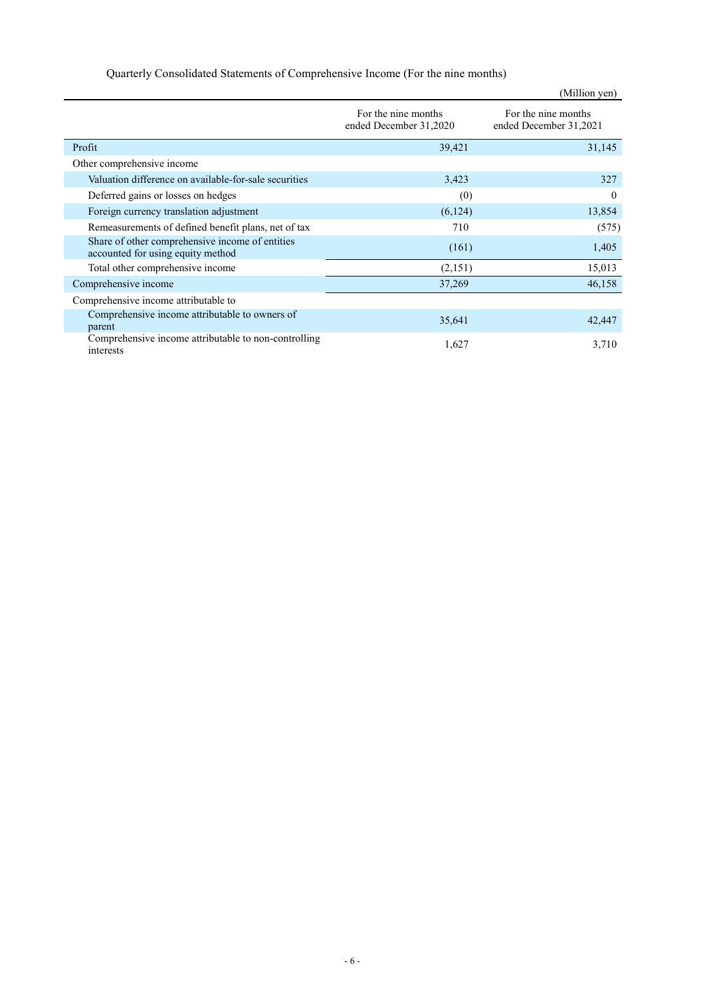## Quarterly Consolidated Statements of Comprehensive Income (For the nine months)

|                                                                                      |                                               | (Million yen)                                 |
|--------------------------------------------------------------------------------------|-----------------------------------------------|-----------------------------------------------|
|                                                                                      | For the nine months<br>ended December 31,2020 | For the nine months<br>ended December 31,2021 |
| Profit                                                                               | 39,421                                        | 31,145                                        |
| Other comprehensive income                                                           |                                               |                                               |
| Valuation difference on available-for-sale securities                                | 3,423                                         | 327                                           |
| Deferred gains or losses on hedges                                                   | (0)                                           | 0                                             |
| Foreign currency translation adjustment                                              | (6,124)                                       | 13,854                                        |
| Remeasurements of defined benefit plans, net of tax                                  | 710                                           | (575)                                         |
| Share of other comprehensive income of entities<br>accounted for using equity method | (161)                                         | 1,405                                         |
| Total other comprehensive income                                                     | (2,151)                                       | 15,013                                        |
| Comprehensive income                                                                 | 37,269                                        | 46,158                                        |
| Comprehensive income attributable to                                                 |                                               |                                               |
| Comprehensive income attributable to owners of<br>parent                             | 35,641                                        | 42,447                                        |
| Comprehensive income attributable to non-controlling<br>interests                    | 1,627                                         | 3,710                                         |